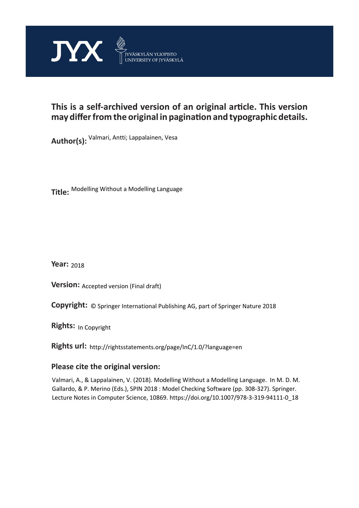

# **This is a self-archived version of an original article. This version may differ from the original in pagination and typographic details.**

**Author(s):**  Valmari, Antti; Lappalainen, Vesa

**Title:**  Modelling Without a Modelling Language

**Year:**  2018

**Version: Accepted version (Final draft)** 

**Version:** Accepted version (Final draft)<br>**Copyright:** © Springer International Publishing AG, part of Springer Nature 2018

**Rights:** In Copyright

**Rights url:**  http://rightsstatements.org/page/InC/1.0/?language=en

## **Please cite the original version:**

Valmari, A., & Lappalainen, V. (2018). Modelling Without a Modelling Language. In M. D. M. Gallardo, & P. Merino (Eds.), SPIN 2018 : Model Checking Software (pp. 308-327). Springer. Lecture Notes in Computer Science, 10869. https://doi.org/10.1007/978-3-319-94111-0\_18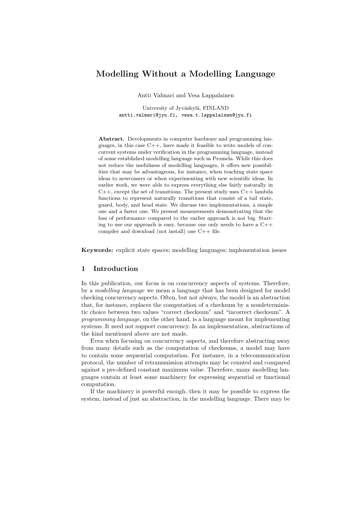## Modelling Without a Modelling Language

Antti Valmari and Vesa Lappalainen

University of Jyväskylä, FINLAND antti.valmari@jyu.fi, vesa.t.lappalainen@jyu.fi

Abstract. Developments in computer hardware and programming languages, in this case  $C_{++}$ , have made it feasible to write models of concurrent systems under verification in the programming language, instead of some established modelling language such as Promela. While this does not reduce the usefulness of modelling languages, it offers new possibilities that may be advantageous, for instance, when teaching state space ideas to newcomers or when experimenting with new scientific ideas. In earlier work, we were able to express everything else fairly naturally in  $C_{++}$ , except the set of transitions. The present study uses  $C_{++}$  lambda functions to represent naturally transitions that consist of a tail state, guard, body, and head state. We discuss two implementations, a simple one and a faster one. We present measurements demonstrating that the loss of performance compared to the earlier approach is not big. Starting to use our approach is easy, because one only needs to have a  $C++$ compiler and download (not install) one C++ file.

Keywords: explicit state spaces; modelling languages; implementation issues

#### 1 Introduction

In this publication, our focus is on concurrency aspects of systems. Therefore, by a modelling language we mean a language that has been designed for model checking concurrency aspects. Often, but not always, the model is an abstraction that, for instance, replaces the computation of a checksum by a nondeterministic choice between two values "correct checksum" and "incorrect checksum". A programming language, on the other hand, is a language meant for implementing systems. It need not support concurrency. In an implementation, abstractions of the kind mentioned above are not made.

Even when focusing on concurrency aspects, and therefore abstracting away from many details such as the computation of checksums, a model may have to contain some sequential computation. For instance, in a telecommunication protocol, the number of retransmission attempts may be counted and compared against a pre-defined constant maximum value. Therefore, many modelling languages contain at least some machinery for expressing sequential or functional computation.

If the machinery is powerful enough, then it may be possible to express the system, instead of just an abstraction, in the modelling language. There may be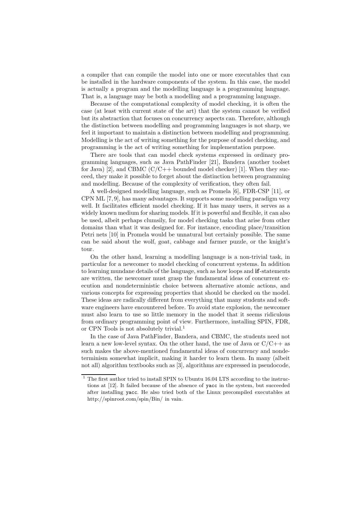a compiler that can compile the model into one or more executables that can be installed in the hardware components of the system. In this case, the model is actually a program and the modelling language is a programming language. That is, a language may be both a modelling and a programming language.

Because of the computational complexity of model checking, it is often the case (at least with current state of the art) that the system cannot be verified but its abstraction that focuses on concurrency aspects can. Therefore, although the distinction between modelling and programming languages is not sharp, we feel it important to maintain a distinction between modelling and programming. Modelling is the act of writing something for the purpose of model checking, and programming is the act of writing something for implementation purpose.

There are tools that can model check systems expressed in ordinary programming languages, such as Java PathFinder [21], Bandera (another toolset for Java) [2], and CBMC  $(C/C++$  bounded model checker) [1]. When they succeed, they make it possible to forget about the distinction between programming and modelling. Because of the complexity of verification, they often fail.

A well-designed modelling language, such as Promela [6], FDR-CSP [11], or CPN ML [7, 9], has many advantages. It supports some modelling paradigm very well. It facilitates efficient model checking. If it has many users, it serves as a widely known medium for sharing models. If it is powerful and flexible, it can also be used, albeit perhaps clumsily, for model checking tasks that arise from other domains than what it was designed for. For instance, encoding place/transition Petri nets [10] in Promela would be unnatural but certainly possible. The same can be said about the wolf, goat, cabbage and farmer puzzle, or the knight's tour.

On the other hand, learning a modelling language is a non-trivial task, in particular for a newcomer to model checking of concurrent systems. In addition to learning mundane details of the language, such as how loops and if-statements are written, the newcomer must grasp the fundamental ideas of concurrent execution and nondeterministic choice between alternative atomic actions, and various concepts for expressing properties that should be checked on the model. These ideas are radically different from everything that many students and software engineers have encountered before. To avoid state explosion, the newcomer must also learn to use so little memory in the model that it seems ridiculous from ordinary programming point of view. Furthermore, installing SPIN, FDR, or CPN Tools is not absolutely trivial.<sup>1</sup>

In the case of Java PathFinder, Bandera, and CBMC, the students need not learn a new low-level syntax. On the other hand, the use of Java or  $C/C++$  as such makes the above-mentioned fundamental ideas of concurrency and nondeterminism somewhat implicit, making it harder to learn them. In many (albeit not all) algorithm textbooks such as [3], algorithms are expressed in pseudocode,

 $^{\rm 1}$  The first author tried to install SPIN to Ubuntu 16.04 LTS according to the instructions at [12]. It failed because of the absence of yacc in the system, but succeeded after installing yacc. He also tried both of the Linux precompiled executables at http://spinroot.com/spin/Bin/ in vain.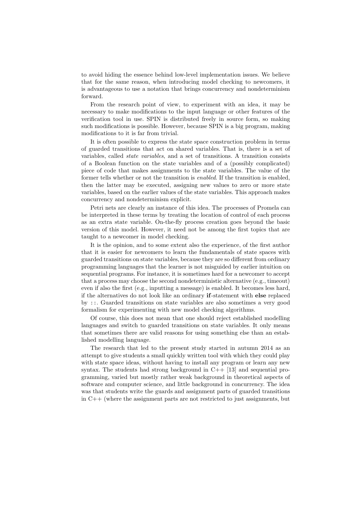to avoid hiding the essence behind low-level implementation issues. We believe that for the same reason, when introducing model checking to newcomers, it is advantageous to use a notation that brings concurrency and nondeterminism forward.

From the research point of view, to experiment with an idea, it may be necessary to make modifications to the input language or other features of the verification tool in use. SPIN is distributed freely in source form, so making such modifications is possible. However, because SPIN is a big program, making modifications to it is far from trivial.

It is often possible to express the state space construction problem in terms of guarded transitions that act on shared variables. That is, there is a set of variables, called state variables, and a set of transitions. A transition consists of a Boolean function on the state variables and of a (possibly complicated) piece of code that makes assignments to the state variables. The value of the former tells whether or not the transition is enabled. If the transition is enabled, then the latter may be executed, assigning new values to zero or more state variables, based on the earlier values of the state variables. This approach makes concurrency and nondeterminism explicit.

Petri nets are clearly an instance of this idea. The processes of Promela can be interpreted in these terms by treating the location of control of each process as an extra state variable. On-the-fly process creation goes beyond the basic version of this model. However, it need not be among the first topics that are taught to a newcomer in model checking.

It is the opinion, and to some extent also the experience, of the first author that it is easier for newcomers to learn the fundamentals of state spaces with guarded transitions on state variables, because they are so different from ordinary programming languages that the learner is not misguided by earlier intuition on sequential programs. For instance, it is sometimes hard for a newcomer to accept that a process may choose the second nondeterministic alternative (e.g., timeout) even if also the first (e.g., inputting a message) is enabled. It becomes less hard, if the alternatives do not look like an ordinary if-statement with else replaced by ::. Guarded transitions on state variables are also sometimes a very good formalism for experimenting with new model checking algorithms.

Of course, this does not mean that one should reject established modelling languages and switch to guarded transitions on state variables. It only means that sometimes there are valid reasons for using something else than an established modelling language.

The research that led to the present study started in autumn 2014 as an attempt to give students a small quickly written tool with which they could play with state space ideas, without having to install any program or learn any new syntax. The students had strong background in  $C_{++}$  [13] and sequential programming, varied but mostly rather weak background in theoretical aspects of software and computer science, and little background in concurrency. The idea was that students write the guards and assignment parts of guarded transitions in C++ (where the assignment parts are not restricted to just assignments, but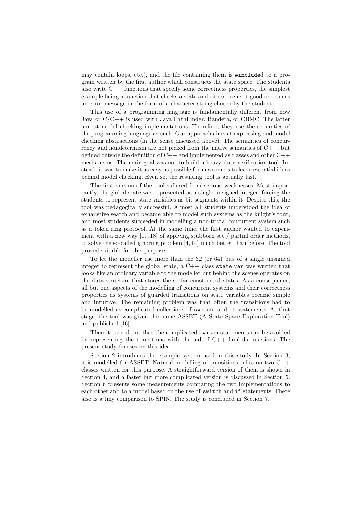may contain loops, etc.), and the file containing them is #included to a program written by the first author which constructs the state space. The students also write C++ functions that specify some correctness properties, the simplest example being a function that checks a state and either deems it good or returns an error message in the form of a character string chosen by the student.

This use of a programming language is fundamentally different from how Java or  $C/C++$  is used with Java PathFinder, Bandera, or CBMC. The latter aim at model checking implementations. Therefore, they use the semantics of the programming language as such. Our approach aims at expressing and model checking abstractions (in the sense discussed above). The semantics of concurrency and nondetermism are not picked from the native semantics of C++, but defined outside the definition of  $C_{++}$  and implemented as classes and other  $C_{++}$ mechanisms. The main goal was not to build a heavy-duty verification tool. Instead, it was to make it as easy as possible for newcomers to learn essential ideas behind model checking. Even so, the resulting tool is actually fast.

The first version of the tool suffered from serious weaknesses. Most importantly, the global state was represented as a single unsigned integer, forcing the students to represent state variables as bit segments within it. Despite this, the tool was pedagogically successful. Almost all students understood the idea of exhaustive search and became able to model such systems as the knight's tour, and most students succeeded in modelling a non-trivial concurrent system such as a token ring protocol. At the same time, the first author wanted to experiment with a new way [17, 18] of applying stubborn set / partial order methods, to solve the so-called ignoring problem [4, 14] much better than before. The tool proved suitable for this purpose.

To let the modeller use more than the 32 (or 64) bits of a single unsigned integer to represent the global state, a C++ class state var was written that looks like an ordinary variable to the modeller but behind the scenes operates on the data structure that stores the so far constructed states. As a consequence, all but one aspects of the modelling of concurrent systems and their correctness properties as systems of guarded transitions on state variables became simple and intuitive. The remaining problem was that often the transitions had to be modelled as complicated collections of switch- and if-statements. At that stage, the tool was given the name ASSET (A State Space Exploration Tool) and published [16].

Then it turned out that the complicated switch-statements can be avoided by representing the transitions with the aid of  $C_{++}$  lambda functions. The present study focuses on this idea.

Section 2 introduces the example system used in this study. In Section 3, it is modelled for ASSET. Natural modelling of transitions relies on two  $C_{++}$ classes written for this purpose. A straightforward version of them is shown in Section 4, and a faster but more complicated version is discussed in Section 5. Section 6 presents some measurements comparing the two implementations to each other and to a model based on the use of switch and if statements. There also is a tiny comparison to SPIN. The study is concluded in Section 7.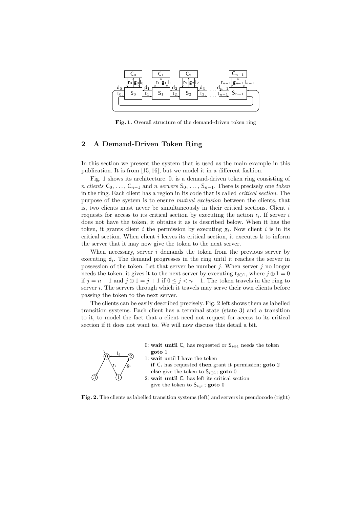

Fig. 1. Overall structure of the demand-driven token ring

#### 2 A Demand-Driven Token Ring

In this section we present the system that is used as the main example in this publication. It is from [15, 16], but we model it in a different fashion.

Fig. 1 shows its architecture. It is a demand-driven token ring consisting of *n clients*  $C_0, \ldots, C_{n-1}$  and *n servers*  $S_0, \ldots, S_{n-1}$ . There is precisely one token in the ring. Each client has a region in its code that is called critical section. The purpose of the system is to ensure mutual exclusion between the clients, that is, two clients must never be simultaneously in their critical sections. Client  $i$ requests for access to its critical section by executing the action  $r_i$ . If server i does not have the token, it obtains it as is described below. When it has the token, it grants client i the permission by executing  $g_i$ . Now client i is in its critical section. When client i leaves its critical section, it executes  $I_i$  to inform the server that it may now give the token to the next server.

When necessary, server  $i$  demands the token from the previous server by executing  $d_i$ . The demand progresses in the ring until it reaches the server in possession of the token. Let that server be number  $j$ . When server  $j$  no longer needs the token, it gives it to the next server by executing  $t_{i \oplus 1}$ , where  $j \oplus 1 = 0$ if  $j = n - 1$  and  $j ⊕ 1 = j + 1$  if  $0 \le j < n - 1$ . The token travels in the ring to server  $i$ . The servers through which it travels may serve their own clients before passing the token to the next server.

The clients can be easily described precisely. Fig. 2 left shows them as labelled transition systems. Each client has a terminal state (state 3) and a transition to it, to model the fact that a client need not request for access to its critical section if it does not want to. We will now discuss this detail a bit.



Fig. 2. The clients as labelled transition systems (left) and servers in pseudocode (right)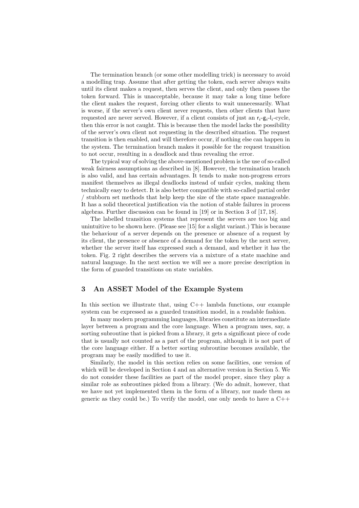The termination branch (or some other modelling trick) is necessary to avoid a modelling trap. Assume that after getting the token, each server always waits until its client makes a request, then serves the client, and only then passes the token forward. This is unacceptable, because it may take a long time before the client makes the request, forcing other clients to wait unnecessarily. What is worse, if the server's own client never requests, then other clients that have requested are never served. However, if a client consists of just an  $r_i-g_i-l_i-cycle$ , then this error is not caught. This is because then the model lacks the possibility of the server's own client not requesting in the described situation. The request transition is then enabled, and will therefore occur, if nothing else can happen in the system. The termination branch makes it possible for the request transition to not occur, resulting in a deadlock and thus revealing the error.

The typical way of solving the above-mentioned problem is the use of so-called weak fairness assumptions as described in [8]. However, the termination branch is also valid, and has certain advantages. It tends to make non-progress errors manifest themselves as illegal deadlocks instead of unfair cycles, making them technically easy to detect. It is also better compatible with so-called partial order / stubborn set methods that help keep the size of the state space manageable. It has a solid theoretical justification via the notion of stable failures in process algebras. Further discussion can be found in [19] or in Section 3 of [17, 18].

The labelled transition systems that represent the servers are too big and unintuitive to be shown here. (Please see [15] for a slight variant.) This is because the behaviour of a server depends on the presence or absence of a request by its client, the presence or absence of a demand for the token by the next server, whether the server itself has expressed such a demand, and whether it has the token. Fig. 2 right describes the servers via a mixture of a state machine and natural language. In the next section we will see a more precise description in the form of guarded transitions on state variables.

#### 3 An ASSET Model of the Example System

In this section we illustrate that, using  $C_{++}$  lambda functions, our example system can be expressed as a guarded transition model, in a readable fashion.

In many modern programming languages, libraries constitute an intermediate layer between a program and the core language. When a program uses, say, a sorting subroutine that is picked from a library, it gets a significant piece of code that is usually not counted as a part of the program, although it is not part of the core language either. If a better sorting subroutine becomes available, the program may be easily modified to use it.

Similarly, the model in this section relies on some facilities, one version of which will be developed in Section 4 and an alternative version in Section 5. We do not consider these facilities as part of the model proper, since they play a similar role as subroutines picked from a library. (We do admit, however, that we have not yet implemented them in the form of a library, nor made them as generic as they could be.) To verify the model, one only needs to have a  $C++$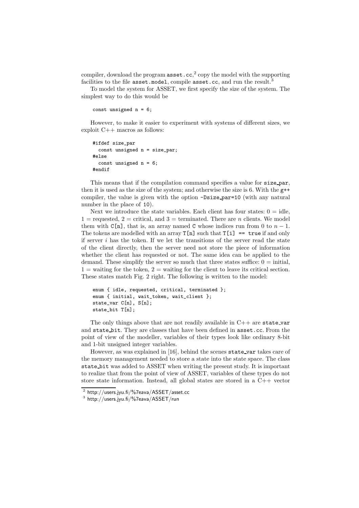compiler, download the program  $\texttt{asset}.\texttt{cc},^2$  copy the model with the supporting facilities to the file asset.model, compile asset.cc, and run the result.<sup>3</sup>

To model the system for ASSET, we first specify the size of the system. The simplest way to do this would be

const unsigned  $n = 6$ ;

However, to make it easier to experiment with systems of different sizes, we exploit C++ macros as follows:

```
#ifdef size_par
 const unsigned n = size_par;
#else
 const unsigned n = 6;
#endif
```
This means that if the compilation command specifies a value for size par. then it is used as the size of the system; and otherwise the size is 6. With the  $g$ ++ compiler, the value is given with the option -Dsize\_par=10 (with any natural number in the place of 10).

Next we introduce the state variables. Each client has four states:  $0 = id$ le.  $1 =$  requested,  $2 =$  critical, and  $3 =$  terminated. There are *n* clients. We model them with C[n], that is, an array named C whose indices run from 0 to  $n-1$ . The tokens are modelled with an array  $T[n]$  such that  $T[i]$  == true if and only if server  $i$  has the token. If we let the transitions of the server read the state of the client directly, then the server need not store the piece of information whether the client has requested or not. The same idea can be applied to the demand. These simplify the server so much that three states suffice:  $0 = \text{initial}$ ,  $1 =$  waiting for the token,  $2 =$  waiting for the client to leave its critical section. These states match Fig. 2 right. The following is written to the model:

```
enum { idle, requested, critical, terminated };
enum { initial, wait_token, wait_client };
state_var C[n], S[n];
state_bit T[n];
```
The only things above that are not readily available in  $C++$  are state var and state bit. They are classes that have been defined in asset.cc. From the point of view of the modeller, variables of their types look like ordinary 8-bit and 1-bit unsigned integer variables.

However, as was explained in [16], behind the scenes state var takes care of the memory management needed to store a state into the state space. The class state bit was added to ASSET when writing the present study. It is important to realize that from the point of view of ASSET, variables of these types do not store state information. Instead, all global states are stored in a C++ vector

 $^2$  http://users.jyu.fi/%7eava/ASSET/asset.cc

 $^3$  http://users.jyu.fi/%7eava/ASSET/run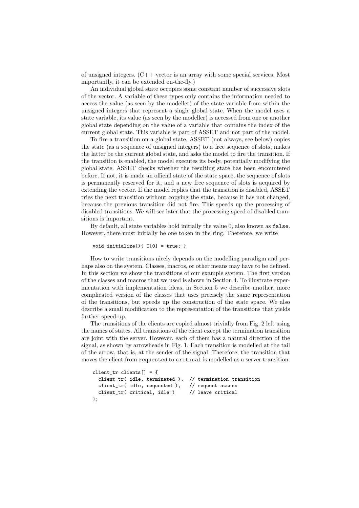of unsigned integers. (C++ vector is an array with some special services. Most importantly, it can be extended on-the-fly.)

An individual global state occupies some constant number of successive slots of the vector. A variable of these types only contains the information needed to access the value (as seen by the modeller) of the state variable from within the unsigned integers that represent a single global state. When the model uses a state variable, its value (as seen by the modeller) is accessed from one or another global state depending on the value of a variable that contains the index of the current global state. This variable is part of ASSET and not part of the model.

To fire a transition on a global state, ASSET (not always, see below) copies the state (as a sequence of unsigned integers) to a free sequence of slots, makes the latter be the current global state, and asks the model to fire the transition. If the transition is enabled, the model executes its body, potentially modifying the global state. ASSET checks whether the resulting state has been encountered before. If not, it is made an official state of the state space, the sequence of slots is permanently reserved for it, and a new free sequence of slots is acquired by extending the vector. If the model replies that the transition is disabled, ASSET tries the next transition without copying the state, because it has not changed, because the previous transition did not fire. This speeds up the processing of disabled transitions. We will see later that the processing speed of disabled transitions is important.

By default, all state variables hold initially the value 0, also known as false. However, there must initially be one token in the ring. Therefore, we write

void initialize $()$ { T[0] = true; }

How to write transitions nicely depends on the modelling paradigm and perhaps also on the system. Classes, macros, or other means may have to be defined. In this section we show the transitions of our example system. The first version of the classes and macros that we used is shown in Section 4. To illustrate experimentation with implementation ideas, in Section 5 we describe another, more complicated version of the classes that uses precisely the same representation of the transitions, but speeds up the construction of the state space. We also describe a small modification to the representation of the transitions that yields further speed-up.

The transitions of the clients are copied almost trivially from Fig. 2 left using the names of states. All transitions of the client except the termination transition are joint with the server. However, each of them has a natural direction of the signal, as shown by arrowheads in Fig. 1. Each transition is modelled at the tail of the arrow, that is, at the sender of the signal. Therefore, the transition that moves the client from requested to critical is modelled as a server transition.

```
client_tr clients[] = {
  client_tr( idle, terminated ), // termination transition
  client_tr( idle, requested ), // request access
  client_tr( critical, idle ) // leave critical
};
```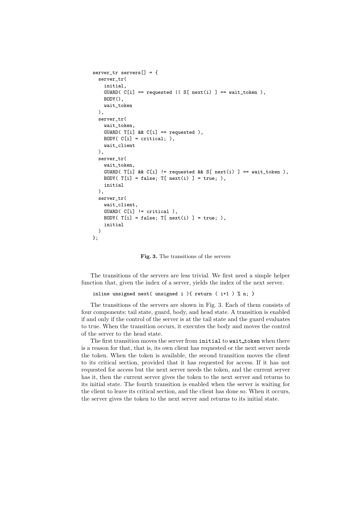```
server_tr servers[] = {
  server_tr(
    initial,
    GUARD(C[i] == requested || S[ next(i) ] == wait_token ),
   BODY(),
    wait_token
 ),
  server_tr(
    wait_token,
    GUARD(T[i] & C[i] == requested),
   BODY(C[i] = critical; ),
    wait_client
  ),
  server_tr(
    wait_token,
    GUARD( T[i] & C[i] != requested & S[ next(i) ] == wait_token ),
   BODY(T[i] = false; T[next(i)] = true; ),
    initial
 ),
 server_tr(
    wait_client,
    GUARD( C[i] != critical ),
   BODY(T[i] = false; T[next(i)] = true; ),
    initial
 )
};
```
Fig. 3. The transitions of the servers

The transitions of the servers are less trivial. We first need a simple helper function that, given the index of a server, yields the index of the next server.

inline unsigned next( unsigned i ){ return ( i+1 ) % n; }

The transitions of the servers are shown in Fig. 3. Each of them consists of four components: tail state, guard, body, and head state. A transition is enabled if and only if the control of the server is at the tail state and the guard evaluates to true. When the transition occurs, it executes the body and moves the control of the server to the head state.

The first transition moves the server from initial to wait token when there is a reason for that, that is, its own client has requested or the next server needs the token. When the token is available, the second transition moves the client to its critical section, provided that it has requested for access. If it has not requested for access but the next server needs the token, and the current server has it, then the current server gives the token to the next server and returns to its initial state. The fourth transition is enabled when the server is waiting for the client to leave its critical section, and the client has done so. When it occurs, the server gives the token to the next server and returns to its initial state.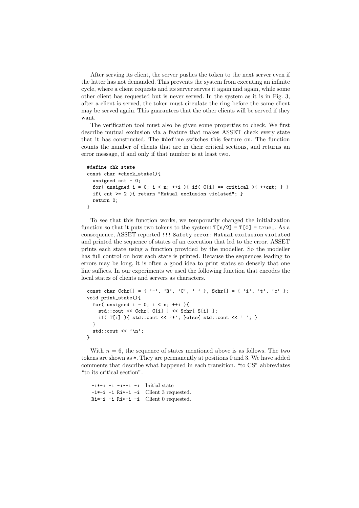After serving its client, the server pushes the token to the next server even if the latter has not demanded. This prevents the system from executing an infinite cycle, where a client requests and its server serves it again and again, while some other client has requested but is never served. In the system as it is in Fig. 3, after a client is served, the token must circulate the ring before the same client may be served again. This guarantees that the other clients will be served if they want.

The verification tool must also be given some properties to check. We first describe mutual exclusion via a feature that makes ASSET check every state that it has constructed. The #define switches this feature on. The function counts the number of clients that are in their critical sections, and returns an error message, if and only if that number is at least two.

```
#define chk_state
const char *check_state(){
  unsigned cnt = 0;
  for( unsigned i = 0; i < n; ++i ){ if(C[i] == critical ){ ++cnt; } }
  if( cnt >= 2 ){ return "Mutual exclusion violated"; }
  return 0;
}
```
To see that this function works, we temporarily changed the initialization function so that it puts two tokens to the system:  $T[n/2] = T[0] = true$ ; As a consequence, ASSET reported !!! Safety error: Mutual exclusion violated and printed the sequence of states of an execution that led to the error. ASSET prints each state using a function provided by the modeller. So the modeller has full control on how each state is printed. Because the sequences leading to errors may be long, it is often a good idea to print states so densely that one line suffices. In our experiments we used the following function that encodes the local states of clients and servers as characters.

```
const char Cchr[] = { '-', 'R', 'C', ' ' }, Schr[] = { 'i', 't', 'c' };
void print_state(){
  for( unsigned i = 0; i < n; ++i ){
    std::cout << Cchr[ C[i] ] << Schr[ S[i] ];
    if( T[i] ){ std::cout << '*'; }else{ std::cout << ' '; }
  }
  std::cout \langle \cdot \rangle \;
}
```
With  $n = 6$ , the sequence of states mentioned above is as follows. The two tokens are shown as \*. They are permanently at positions 0 and 3. We have added comments that describe what happened in each transition. "to CS" abbreviates "to its critical section".

```
-i*-i -i -i*-i -i Initial state
-i*-i -i Ri*-i -i Client 3 requested.
Ri*-i -i Ri*-i -i Client 0 requested.
```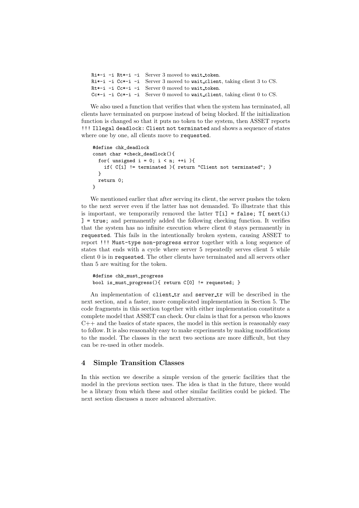```
Ri*-i -i Rt*-i -i Server 3 moved to wait token.
Ri*-i -i C*-i -i Server 3 moved to wait-client, taking client 3 to CS.
Rt*-i -i Cc*-i -i Server 0 moved to wait token.
Cc*-i -i Cc*-i -i Server 0 moved to wait client, taking client 0 to CS.
```
We also used a function that verifies that when the system has terminated, all clients have terminated on purpose instead of being blocked. If the initialization function is changed so that it puts no token to the system, then ASSET reports !!! Illegal deadlock: Client not terminated and shows a sequence of states where one by one, all clients move to requested.

```
#define chk_deadlock
const char *check_deadlock(){
  for( unsigned i = 0; i < n; ++i ){
    if( C[i] != terminated ){ return "Client not terminated"; }
  }
 return 0;
}
```
We mentioned earlier that after serving its client, the server pushes the token to the next server even if the latter has not demanded. To illustrate that this is important, we temporarily removed the latter  $T[i] = false$ ;  $T[next(i)]$ ] = true; and permanently added the following checking function. It verifies that the system has no infinite execution where client 0 stays permanently in requested. This fails in the intentionally broken system, causing ASSET to report !!! Must-type non-progress error together with a long sequence of states that ends with a cycle where server 5 repeatedly serves client 5 while client 0 is in requested. The other clients have terminated and all servers other than 5 are waiting for the token.

```
#define chk_must_progress
bool is_must_progress(){ return C[0] != requested; }
```
An implementation of client tr and server tr will be described in the next section, and a faster, more complicated implementation in Section 5. The code fragments in this section together with either implementation constitute a complete model that ASSET can check. Our claim is that for a person who knows  $C++$  and the basics of state spaces, the model in this section is reasonably easy to follow. It is also reasonably easy to make experiments by making modifications to the model. The classes in the next two sections are more difficult, but they can be re-used in other models.

#### 4 Simple Transition Classes

In this section we describe a simple version of the generic facilities that the model in the previous section uses. The idea is that in the future, there would be a library from which these and other similar facilities could be picked. The next section discusses a more advanced alternative.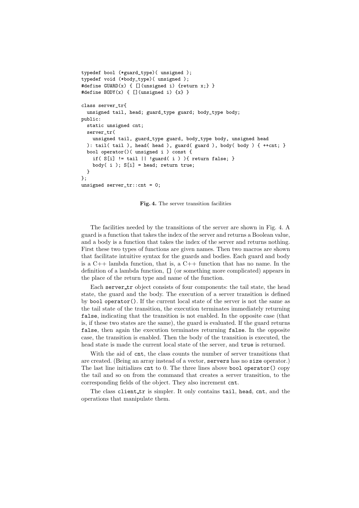```
typedef bool (*guard_type)( unsigned );
typedef void (*body_type)( unsigned );
#define GUARD(x) \{ [] (unsigned i) {return x; } }
#define BODY(x) { [] (unsigned i) \{x\} }
class server_tr{
 unsigned tail, head; guard_type guard; body_type body;
public:
 static unsigned cnt;
 server_tr(
    unsigned tail, guard_type guard, body_type body, unsigned head
  ): tail( tail ), head( head ), guard( guard ), body( body ) { ++cnt; }
  bool operator()( unsigned i ) const {
    if(S[i] != tail || !guard(i) ){ return false; }
    body( i ); S[i] = head; return true;
 }
};
unsigned server_tr::cnt = 0;
```
Fig. 4. The server transition facilities

The facilities needed by the transitions of the server are shown in Fig. 4. A guard is a function that takes the index of the server and returns a Boolean value, and a body is a function that takes the index of the server and returns nothing. First these two types of functions are given names. Then two macros are shown that facilitate intuitive syntax for the guards and bodies. Each guard and body is a  $C_{++}$  lambda function, that is, a  $C_{++}$  function that has no name. In the definition of a lambda function, [] (or something more complicated) appears in the place of the return type and name of the function.

Each server tr object consists of four components: the tail state, the head state, the guard and the body. The execution of a server transition is defined by bool operator(). If the current local state of the server is not the same as the tail state of the transition, the execution terminates immediately returning false, indicating that the transition is not enabled. In the opposite case (that is, if these two states are the same), the guard is evaluated. If the guard returns false, then again the execution terminates returning false. In the opposite case, the transition is enabled. Then the body of the transition is executed, the head state is made the current local state of the server, and true is returned.

With the aid of cnt, the class counts the number of server transitions that are created. (Being an array instead of a vector, servers has no size operator.) The last line initializes cnt to 0. The three lines above bool operator() copy the tail and so on from the command that creates a server transition, to the corresponding fields of the object. They also increment cnt.

The class client tr is simpler. It only contains tail, head, cnt, and the operations that manipulate them.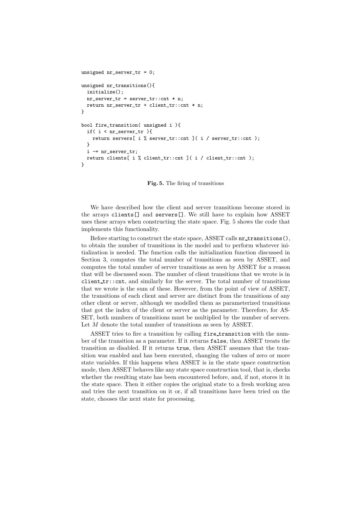```
unsigned nr_server_tr = 0;
unsigned nr_transitions(){
  initialize();
 nr\_server\_tr = server\_tr::cnt * n;return nr server tr + client tr::cnt * n;
}
bool fire_transition( unsigned i ){
  if( i < nr_server_tr ){
    return servers[ i % server_tr::cnt ]( i / server_tr::cnt );
 }
 i -= nr_server_tr;
 return clients[ i % client_tr::cnt ]( i / client_tr::cnt );
}
```
Fig. 5. The firing of transitions

We have described how the client and server transitions become stored in the arrays clients[] and servers[]. We still have to explain how ASSET uses these arrays when constructing the state space. Fig. 5 shows the code that implements this functionality.

Before starting to construct the state space, ASSET calls  $nr_$ transitions $(),$ to obtain the number of transitions in the model and to perform whatever initialization is needed. The function calls the initialization function discussed in Section 3, computes the total number of transitions as seen by ASSET, and computes the total number of server transitions as seen by ASSET for a reason that will be discussed soon. The number of client transitions that we wrote is in  $client\_tr::cnt$ , and similarly for the server. The total number of transitions that we wrote is the sum of these. However, from the point of view of ASSET, the transitions of each client and server are distinct from the transitions of any other client or server, although we modelled them as parameterized transitions that got the index of the client or server as the parameter. Therefore, for AS-SET, both numbers of transitions must be multiplied by the number of servers. Let M denote the total number of transitions as seen by ASSET.

ASSET tries to fire a transition by calling fire transition with the number of the transition as a parameter. If it returns false, then ASSET treats the transition as disabled. If it returns true, then ASSET assumes that the transition was enabled and has been executed, changing the values of zero or more state variables. If this happens when ASSET is in the state space construction mode, then ASSET behaves like any state space construction tool, that is, checks whether the resulting state has been encountered before, and, if not, stores it in the state space. Then it either copies the original state to a fresh working area and tries the next transition on it or, if all transitions have been tried on the state, chooses the next state for processing.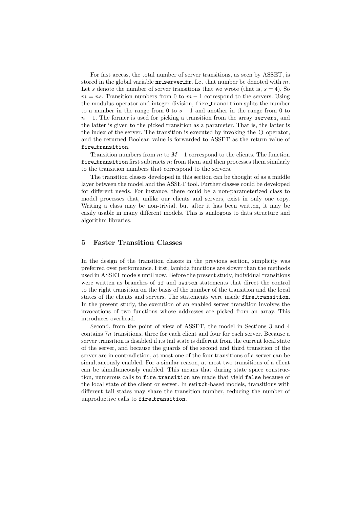For fast access, the total number of server transitions, as seen by ASSET, is stored in the global variable  $nr$ -server-tr. Let that number be denoted with m. Let s denote the number of server transitions that we wrote (that is,  $s = 4$ ). So  $m = ns$ . Transition numbers from 0 to  $m - 1$  correspond to the servers. Using the modulus operator and integer division, fire transition splits the number to a number in the range from 0 to  $s - 1$  and another in the range from 0 to  $n-1$ . The former is used for picking a transition from the array servers, and the latter is given to the picked transition as a parameter. That is, the latter is the index of the server. The transition is executed by invoking the () operator, and the returned Boolean value is forwarded to ASSET as the return value of fire transition.

Transition numbers from  $m$  to  $M-1$  correspond to the clients. The function fire transition first subtracts  $m$  from them and then processes them similarly to the transition numbers that correspond to the servers.

The transition classes developed in this section can be thought of as a middle layer between the model and the ASSET tool. Further classes could be developed for different needs. For instance, there could be a non-parameterized class to model processes that, unlike our clients and servers, exist in only one copy. Writing a class may be non-trivial, but after it has been written, it may be easily usable in many different models. This is analogous to data structure and algorithm libraries.

#### 5 Faster Transition Classes

In the design of the transition classes in the previous section, simplicity was preferred over performance. First, lambda functions are slower than the methods used in ASSET models until now. Before the present study, individual transitions were written as branches of if and switch statements that direct the control to the right transition on the basis of the number of the transition and the local states of the clients and servers. The statements were inside fire\_transition. In the present study, the execution of an enabled server transition involves the invocations of two functions whose addresses are picked from an array. This introduces overhead.

Second, from the point of view of ASSET, the model in Sections 3 and 4 contains 7n transitions, three for each client and four for each server. Because a server transition is disabled if its tail state is different from the current local state of the server, and because the guards of the second and third transition of the server are in contradiction, at most one of the four transitions of a server can be simultaneously enabled. For a similar reason, at most two transitions of a client can be simultaneously enabled. This means that during state space construction, numerous calls to fire\_transition are made that yield false because of the local state of the client or server. In switch-based models, transitions with different tail states may share the transition number, reducing the number of unproductive calls to fire transition.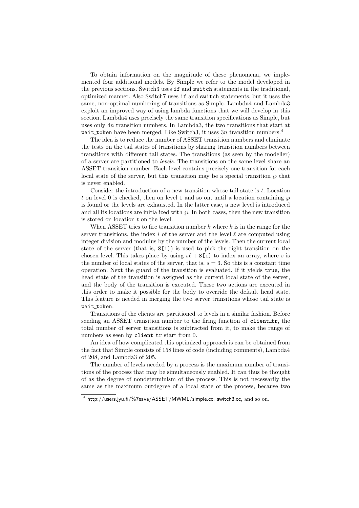To obtain information on the magnitude of these phenomena, we implemented four additional models. By Simple we refer to the model developed in the previous sections. Switch3 uses if and switch statements in the traditional, optimized manner. Also Switch7 uses if and switch statements, but it uses the same, non-optimal numbering of transitions as Simple. Lambda4 and Lambda3 exploit an improved way of using lambda functions that we will develop in this section. Lambda4 uses precisely the same transition specifications as Simple, but uses only 4n transition numbers. In Lambda3, the two transitions that start at wait token have been merged. Like Switch3, it uses  $3n$  transition numbers.<sup>4</sup>

The idea is to reduce the number of ASSET transition numbers and eliminate the tests on the tail states of transitions by sharing transition numbers between transitions with different tail states. The transitions (as seen by the modeller) of a server are partitioned to levels. The transitions on the same level share an ASSET transition number. Each level contains precisely one transition for each local state of the server, but this transition may be a special transition  $\wp$  that is never enabled.

Consider the introduction of a new transition whose tail state is  $t$ . Location t on level 0 is checked, then on level 1 and so on, until a location containing  $\wp$ is found or the levels are exhausted. In the latter case, a new level is introduced and all its locations are initialized with  $\varphi$ . In both cases, then the new transition is stored on location  $t$  on the level.

When ASSET tries to fire transition number  $k$  where  $k$  is in the range for the server transitions, the index i of the server and the level  $\ell$  are computed using integer division and modulus by the number of the levels. Then the current local state of the server (that is, S[i]) is used to pick the right transition on the chosen level. This takes place by using  $s\ell + S[i]$  to index an array, where s is the number of local states of the server, that is,  $s = 3$ . So this is a constant time operation. Next the guard of the transition is evaluated. If it yields true, the head state of the transition is assigned as the current local state of the server, and the body of the transition is executed. These two actions are executed in this order to make it possible for the body to override the default head state. This feature is needed in merging the two server transitions whose tail state is wait token.

Transitions of the clients are partitioned to levels in a similar fashion. Before sending an ASSET transition number to the firing function of client tr, the total number of server transitions is subtracted from it, to make the range of numbers as seen by client\_tr start from 0.

An idea of how complicated this optimized approach is can be obtained from the fact that Simple consists of 158 lines of code (including comments), Lambda4 of 208, and Lambda3 of 205.

The number of levels needed by a process is the maximum number of transitions of the process that may be simultaneously enabled. It can thus be thought of as the degree of nondeterminism of the process. This is not necessarily the same as the maximum outdegree of a local state of the process, because two

<sup>4</sup> http://users.jyu.fi/%7eava/ASSET/MWML/simple.cc, switch3.cc, and so on.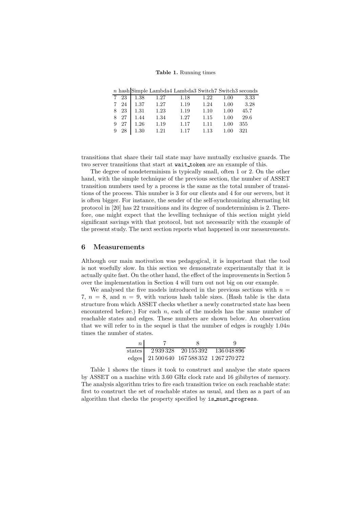#### Table 1. Running times

|  |  |  | $n$ hash Simple Lambda4 Lambda3 Switch7 Switch3 seconds |  |  |  |  |
|--|--|--|---------------------------------------------------------|--|--|--|--|
|--|--|--|---------------------------------------------------------|--|--|--|--|

|  |  | $\begin{tabular}{cccccc} 7 & 23 & 1.38 & 1.27 & 1.18 & 1.22 & 1.00 & 3.33 \\ 7 & 24 & 1.37 & 1.27 & 1.19 & 1.24 & 1.00 & 3.28 \\ 8 & 23 & 1.31 & 1.23 & 1.19 & 1.10 & 1.00 & 45.7 \\ 8 & 27 & 1.44 & 1.34 & 1.27 & 1.15 & 1.00 & 29.6 \\ 9 & 27 & 1.26 & 1.19 & 1.17 & 1.11 & 1.00 & 3$ |  |  |
|--|--|-----------------------------------------------------------------------------------------------------------------------------------------------------------------------------------------------------------------------------------------------------------------------------------------|--|--|
|  |  |                                                                                                                                                                                                                                                                                         |  |  |

transitions that share their tail state may have mutually exclusive guards. The two server transitions that start at wait token are an example of this.

The degree of nondeterminism is typically small, often 1 or 2. On the other hand, with the simple technique of the previous section, the number of ASSET transition numbers used by a process is the same as the total number of transitions of the process. This number is 3 for our clients and 4 for our servers, but it is often bigger. For instance, the sender of the self-synchronizing alternating bit protocol in [20] has 22 transitions and its degree of nondeterminism is 2. Therefore, one might expect that the levelling technique of this section might yield significant savings with that protocol, but not necessarily with the example of the present study. The next section reports what happened in our measurements.

#### 6 Measurements

Although our main motivation was pedagogical, it is important that the tool is not woefully slow. In this section we demonstrate experimentally that it is actually quite fast. On the other hand, the effect of the improvements in Section 5 over the implementation in Section 4 will turn out not big on our example.

We analysed the five models introduced in the previous sections with  $n =$ 7,  $n = 8$ , and  $n = 9$ , with various hash table sizes. (Hash table is the data structure from which ASSET checks whether a newly constructed state has been encountered before.) For each  $n$ , each of the models has the same number of reachable states and edges. These numbers are shown below. An observation that we will refer to in the sequel is that the number of edges is roughly  $1.04n$ times the number of states.

| $n_{\cdot}$ |  |                                              |
|-------------|--|----------------------------------------------|
|             |  | states   2939328 20155392 136048896          |
|             |  | edges   21 500 640 167 588 352 1 267 270 272 |

Table 1 shows the times it took to construct and analyse the state spaces by ASSET on a machine with 3.60 GHz clock rate and 16 gibibytes of memory. The analysis algorithm tries to fire each transition twice on each reachable state: first to construct the set of reachable states as usual, and then as a part of an algorithm that checks the property specified by is must progress.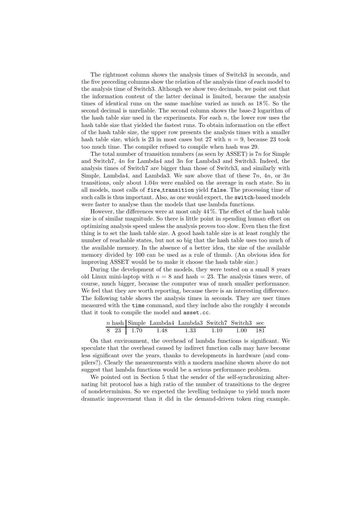The rightmost column shows the analysis times of Switch3 in seconds, and the five preceding columns show the relation of the analysis time of each model to the analysis time of Switch3. Although we show two decimals, we point out that the information content of the latter decimal is limited, because the analysis times of identical runs on the same machine varied as much as 18 %. So the second decimal is unreliable. The second column shows the base-2 logarithm of the hash table size used in the experiments. For each  $n$ , the lower row uses the hash table size that yielded the fastest runs. To obtain information on the effect of the hash table size, the upper row presents the analysis times with a smaller hash table size, which is 23 in most cases but 27 with  $n = 9$ , because 23 took too much time. The compiler refused to compile when hash was 29.

The total number of transition numbers (as seen by  $\overline{ASSET}$ ) is  $7n$  for Simple and Switch7, 4n for Lambda4 and 3n for Lambda3 and Switch3. Indeed, the analysis times of Switch7 are bigger than those of Switch3, and similarly with Simple, Lambda4, and Lambda3. We saw above that of these  $7n$ ,  $4n$ , or 3n transitions, only about 1.04n were enabled on the average in each state. So in all models, most calls of fire transition yield false. The processing time of such calls is thus important. Also, as one would expect, the switch-based models were faster to analyse than the models that use lambda functions.

However, the differences were at most only 44 %. The effect of the hash table size is of similar magnitude. So there is little point in spending human effort on optimizing analysis speed unless the analysis proves too slow. Even then the first thing is to set the hash table size. A good hash table size is at least roughly the number of reachable states, but not so big that the hash table uses too much of the available memory. In the absence of a better idea, the size of the available memory divided by 100 can be used as a rule of thumb. (An obvious idea for improving ASSET would be to make it choose the hash table size.)

During the development of the models, they were tested on a small 8 years old Linux mini-laptop with  $n = 8$  and hash  $= 23$ . The analysis times were, of course, much bigger, because the computer was of much smaller performance. We feel that they are worth reporting, because there is an interesting difference. The following table shows the analysis times in seconds. They are user times measured with the time command, and they include also the roughly 4 seconds that it took to compile the model and asset.cc.

|  |           | $n$ hash Simple Lambda4 Lambda3 Switch7 Switch3 sec |      |      |          |  |
|--|-----------|-----------------------------------------------------|------|------|----------|--|
|  | 8 23 1.70 | 1.48                                                | 1.33 | 1.10 | 1.00 181 |  |

On that environment, the overhead of lambda functions is significant. We speculate that the overhead caused by indirect function calls may have become less significant over the years, thanks to developments in hardware (and compilers?). Clearly the measurements with a modern machine shown above do not suggest that lambda functions would be a serious performance problem.

We pointed out in Section 5 that the sender of the self-synchronizing alternating bit protocol has a high ratio of the number of transitions to the degree of nondeterminism. So we expected the levelling technique to yield much more dramatic improvement than it did in the demand-driven token ring example.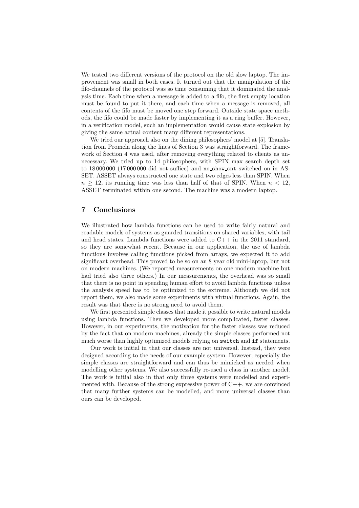We tested two different versions of the protocol on the old slow laptop. The improvement was small in both cases. It turned out that the manipulation of the fifo-channels of the protocol was so time consuming that it dominated the analysis time. Each time when a message is added to a fifo, the first empty location must be found to put it there, and each time when a message is removed, all contents of the fifo must be moved one step forward. Outside state space methods, the fifo could be made faster by implementing it as a ring buffer. However, in a verification model, such an implementation would cause state explosion by giving the same actual content many different representations.

We tried our approach also on the dining philosophers' model at [5]. Translation from Promela along the lines of Section 3 was straightforward. The framework of Section 4 was used, after removing everything related to clients as unnecessary. We tried up to 14 philosophers, with SPIN max search depth set to 18 000 000 (17 000 000 did not suffice) and no show cnt switched on in AS-SET. ASSET always constructed one state and two edges less than SPIN. When  $n > 12$ , its running time was less than half of that of SPIN. When  $n < 12$ , ASSET terminated within one second. The machine was a modern laptop.

### 7 Conclusions

We illustrated how lambda functions can be used to write fairly natural and readable models of systems as guarded transitions on shared variables, with tail and head states. Lambda functions were added to  $C_{++}$  in the 2011 standard, so they are somewhat recent. Because in our application, the use of lambda functions involves calling functions picked from arrays, we expected it to add significant overhead. This proved to be so on an 8 year old mini-laptop, but not on modern machines. (We reported measurements on one modern machine but had tried also three others.) In our measurements, the overhead was so small that there is no point in spending human effort to avoid lambda functions unless the analysis speed has to be optimized to the extreme. Although we did not report them, we also made some experiments with virtual functions. Again, the result was that there is no strong need to avoid them.

We first presented simple classes that made it possible to write natural models using lambda functions. Then we developed more complicated, faster classes. However, in our experiments, the motivation for the faster classes was reduced by the fact that on modern machines, already the simple classes performed not much worse than highly optimized models relying on switch and if statements.

Our work is initial in that our classes are not universal. Instead, they were designed according to the needs of our example system. However, especially the simple classes are straightforward and can thus be mimicked as needed when modelling other systems. We also successfully re-used a class in another model. The work is initial also in that only three systems were modelled and experimented with. Because of the strong expressive power of  $C_{++}$ , we are convinced that many further systems can be modelled, and more universal classes than ours can be developed.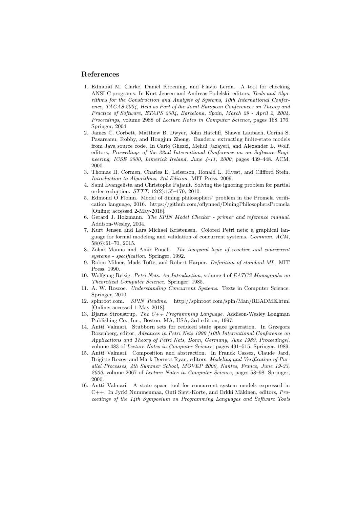#### References

- 1. Edmund M. Clarke, Daniel Kroening, and Flavio Lerda. A tool for checking ANSI-C programs. In Kurt Jensen and Andreas Podelski, editors, *Tools and Algorithms for the Construction and Analysis of Systems, 10th International Conference, TACAS 2004, Held as Part of the Joint European Conferences on Theory and Practice of Software, ETAPS 2004, Barcelona, Spain, March 29 - April 2, 2004, Proceedings*, volume 2988 of *Lecture Notes in Computer Science*, pages 168–176. Springer, 2004.
- 2. James C. Corbett, Matthew B. Dwyer, John Hatcliff, Shawn Laubach, Corina S. Pasareanu, Robby, and Hongjun Zheng. Bandera: extracting finite-state models from Java source code. In Carlo Ghezzi, Mehdi Jazayeri, and Alexander L. Wolf, editors, *Proceedings of the 22nd International Conference on on Software Engineering, ICSE 2000, Limerick Ireland, June 4-11, 2000*, pages 439–448. ACM, 2000.
- 3. Thomas H. Cormen, Charles E. Leiserson, Ronald L. Rivest, and Clifford Stein. *Introduction to Algorithms, 3rd Edition*. MIT Press, 2009.
- 4. Sami Evangelista and Christophe Pajault. Solving the ignoring problem for partial order reduction. *STTT*, 12(2):155–170, 2010.
- 5. Edmond Ó Floinn. Model of dining philosophers' problem in the Promela verification language, 2016. https://github.com/oflynned/DiningPhilosophersPromela [Online; accessed 2-May-2018].
- 6. Gerard J. Holzmann. *The SPIN Model Checker primer and reference manual*. Addison-Wesley, 2004.
- 7. Kurt Jensen and Lars Michael Kristensen. Colored Petri nets: a graphical language for formal modeling and validation of concurrent systems. *Commun. ACM*, 58(6):61–70, 2015.
- 8. Zohar Manna and Amir Pnueli. *The temporal logic of reactive and concurrent systems - specification*. Springer, 1992.
- 9. Robin Milner, Mads Tofte, and Robert Harper. *Definition of standard ML*. MIT Press, 1990.
- 10. Wolfgang Reisig. *Petri Nets: An Introduction*, volume 4 of *EATCS Monographs on Theoretical Computer Science*. Springer, 1985.
- 11. A. W. Roscoe. *Understanding Concurrent Systems*. Texts in Computer Science. Springer, 2010.
- 12. spinroot.com. *SPIN Readme*. http://spinroot.com/spin/Man/README.html [Online; accessed 1-May-2018].
- 13. Bjarne Stroustrup. *The C++ Programming Language*. Addison-Wesley Longman Publishing Co., Inc., Boston, MA, USA, 3rd edition, 1997.
- 14. Antti Valmari. Stubborn sets for reduced state space generation. In Grzegorz Rozenberg, editor, *Advances in Petri Nets 1990 [10th International Conference on Applications and Theory of Petri Nets, Bonn, Germany, June 1989, Proceedings]*, volume 483 of *Lecture Notes in Computer Science*, pages 491–515. Springer, 1989.
- 15. Antti Valmari. Composition and abstraction. In Franck Cassez, Claude Jard, Brigitte Rozoy, and Mark Dermot Ryan, editors, *Modeling and Verification of Parallel Processes, 4th Summer School, MOVEP 2000, Nantes, France, June 19-23, 2000*, volume 2067 of *Lecture Notes in Computer Science*, pages 58–98. Springer, 2000.
- 16. Antti Valmari. A state space tool for concurrent system models expressed in C++. In Jyrki Nummenmaa, Outi Sievi-Korte, and Erkki Mäkinen, editors, *Proceedings of the 14th Symposium on Programming Languages and Software Tools*